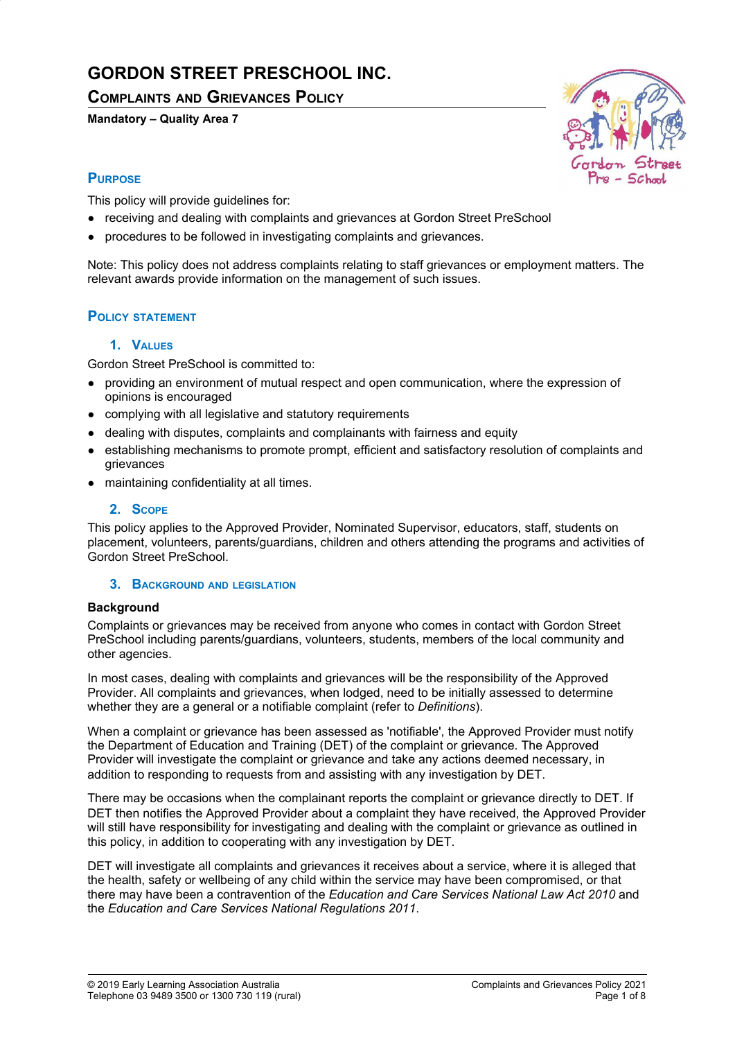# **GORDON STREET PRESCHOOL INC.**

## **COMPLAINTS AND GRIEVANCES POLICY**

**Mandatory – Quality Area 7**



## **PURPOSE**

This policy will provide guidelines for:

- receiving and dealing with complaints and grievances at Gordon Street PreSchool
- procedures to be followed in investigating complaints and grievances.

Note: This policy does not address complaints relating to staff grievances or employment matters. The relevant awards provide information on the management of such issues.

## **POLICY STATEMENT**

## **1. VALUES**

Gordon Street PreSchool is committed to:

- providing an environment of mutual respect and open communication, where the expression of opinions is encouraged
- complying with all legislative and statutory requirements
- dealing with disputes, complaints and complainants with fairness and equity
- establishing mechanisms to promote prompt, efficient and satisfactory resolution of complaints and grievances
- maintaining confidentiality at all times.

## **2. SCOPE**

This policy applies to the Approved Provider, Nominated Supervisor, educators, staff, students on placement, volunteers, parents/guardians, children and others attending the programs and activities of Gordon Street PreSchool.

### **3. BACKGROUND AND LEGISLATION**

### **Background**

Complaints or grievances may be received from anyone who comes in contact with Gordon Street PreSchool including parents/guardians, volunteers, students, members of the local community and other agencies.

In most cases, dealing with complaints and grievances will be the responsibility of the Approved Provider. All complaints and grievances, when lodged, need to be initially assessed to determine whether they are a general or a notifiable complaint (refer to *Definitions*).

When a complaint or grievance has been assessed as 'notifiable', the Approved Provider must notify the Department of Education and Training (DET) of the complaint or grievance. The Approved Provider will investigate the complaint or grievance and take any actions deemed necessary, in addition to responding to requests from and assisting with any investigation by DET.

There may be occasions when the complainant reports the complaint or grievance directly to DET. If DET then notifies the Approved Provider about a complaint they have received, the Approved Provider will still have responsibility for investigating and dealing with the complaint or grievance as outlined in this policy, in addition to cooperating with any investigation by DET.

DET will investigate all complaints and grievances it receives about a service, where it is alleged that the health, safety or wellbeing of any child within the service may have been compromised, or that there may have been a contravention of the *Education and Care Services National Law Act 2010* and the *Education and Care Services National Regulations 2011*.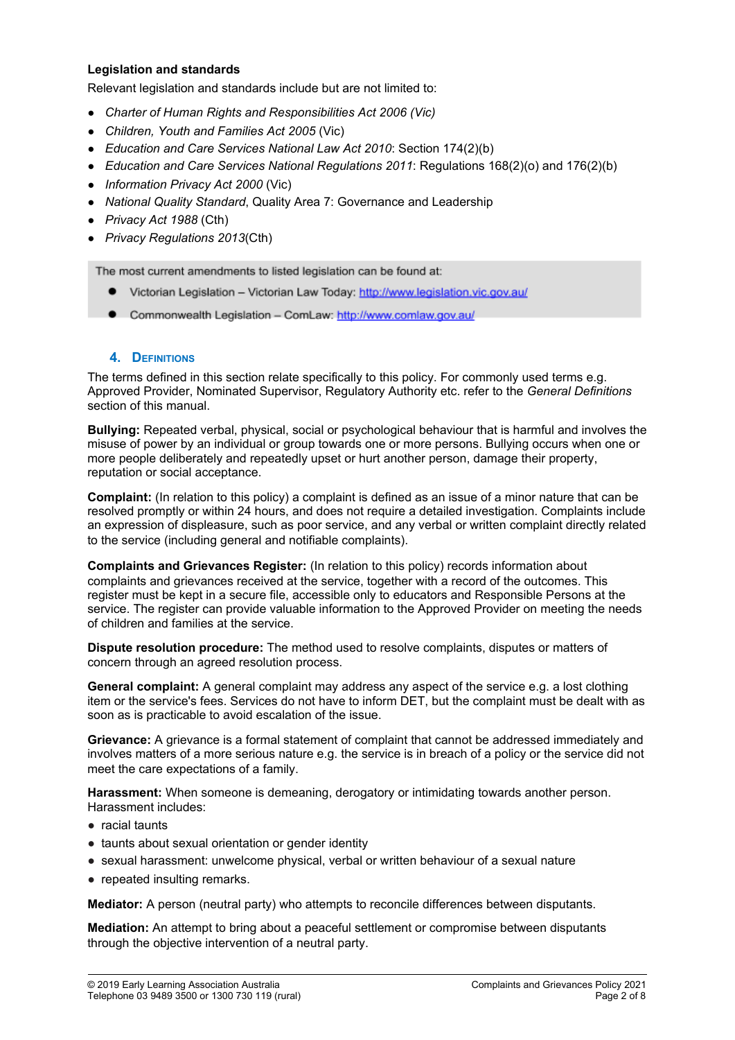## **Legislation and standards**

Relevant legislation and standards include but are not limited to:

- *Charter of Human Rights and Responsibilities Act 2006 (Vic)*
- *Children, Youth and Families Act 2005* (Vic)
- *Education and Care Services National Law Act 2010*: Section 174(2)(b)
- *Education and Care Services National Regulations 2011*: Regulations 168(2)(o) and 176(2)(b)
- *Information Privacy Act 2000* (Vic)
- *National Quality Standard*, Quality Area 7: Governance and Leadership
- *Privacy Act 1988* (Cth)
- *Privacy Regulations 2013*(Cth)

The most current amendments to listed legislation can be found at:

- Victorian Legislation Victorian Law Today: http://www.legislation.vic.gov.au/
- Commonwealth Legislation ComLaw: http://www.comlaw.gov.au/

### **4. DEFINITIONS**

The terms defined in this section relate specifically to this policy. For commonly used terms e.g. Approved Provider, Nominated Supervisor, Regulatory Authority etc. refer to the *General Definitions* section of this manual.

**Bullying:** Repeated verbal, physical, social or psychological behaviour that is harmful and involves the misuse of power by an individual or group towards one or more persons. Bullying occurs when one or more people deliberately and repeatedly upset or hurt another person, damage their property, reputation or social acceptance.

**Complaint:** (In relation to this policy) a complaint is defined as an issue of a minor nature that can be resolved promptly or within 24 hours, and does not require a detailed investigation. Complaints include an expression of displeasure, such as poor service, and any verbal or written complaint directly related to the service (including general and notifiable complaints).

**Complaints and Grievances Register:** (In relation to this policy) records information about complaints and grievances received at the service, together with a record of the outcomes. This register must be kept in a secure file, accessible only to educators and Responsible Persons at the service. The register can provide valuable information to the Approved Provider on meeting the needs of children and families at the service.

**Dispute resolution procedure:** The method used to resolve complaints, disputes or matters of concern through an agreed resolution process.

**General complaint:** A general complaint may address any aspect of the service e.g. a lost clothing item or the service's fees. Services do not have to inform DET, but the complaint must be dealt with as soon as is practicable to avoid escalation of the issue.

**Grievance:** A grievance is a formal statement of complaint that cannot be addressed immediately and involves matters of a more serious nature e.g. the service is in breach of a policy or the service did not meet the care expectations of a family.

**Harassment:** When someone is demeaning, derogatory or intimidating towards another person. Harassment includes:

- racial taunts
- taunts about sexual orientation or gender identity
- sexual harassment: unwelcome physical, verbal or written behaviour of a sexual nature
- repeated insulting remarks.

**Mediator:** A person (neutral party) who attempts to reconcile differences between disputants.

**Mediation:** An attempt to bring about a peaceful settlement or compromise between disputants through the objective intervention of a neutral party.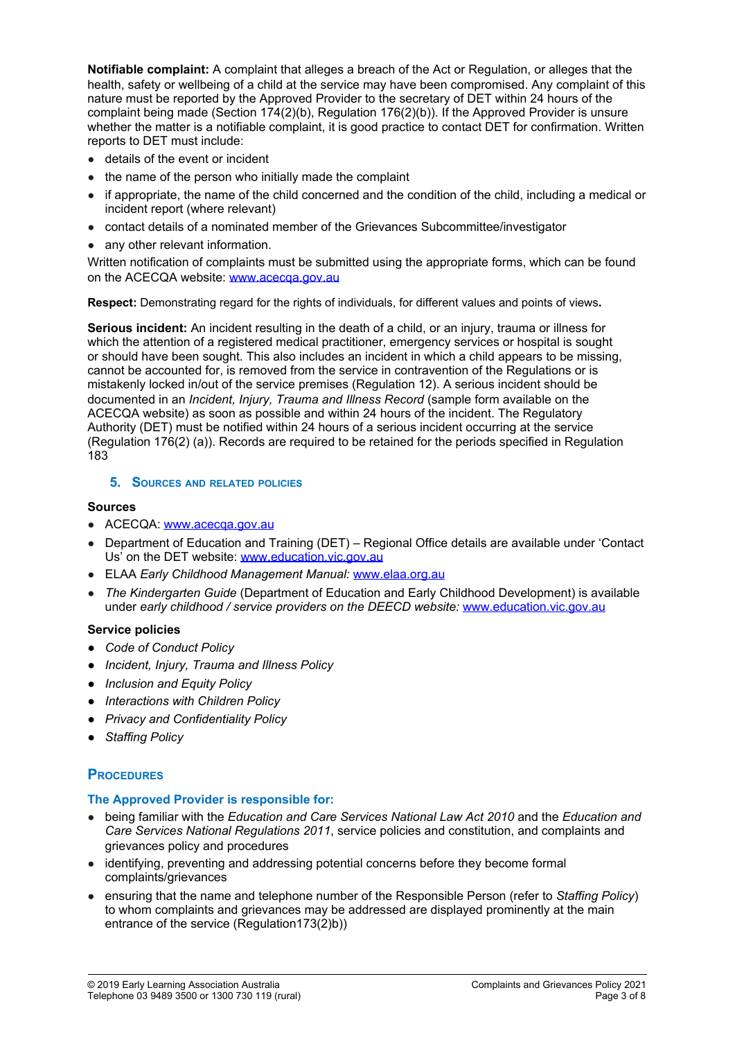**Notifiable complaint:** A complaint that alleges a breach of the Act or Regulation, or alleges that the health, safety or wellbeing of a child at the service may have been compromised. Any complaint of this nature must be reported by the Approved Provider to the secretary of DET within 24 hours of the complaint being made (Section 174(2)(b), Regulation 176(2)(b)). If the Approved Provider is unsure whether the matter is a notifiable complaint, it is good practice to contact DET for confirmation. Written reports to DET must include:

- details of the event or incident
- the name of the person who initially made the complaint
- if appropriate, the name of the child concerned and the condition of the child, including a medical or incident report (where relevant)
- contact details of a nominated member of the Grievances Subcommittee/investigator
- any other relevant information.

Written notification of complaints must be submitted using the appropriate forms, which can be found on the ACECQA website: [www.acecqa.gov.au](http://www.acecqa.gov.au/)

**Respect:** Demonstrating regard for the rights of individuals, for different values and points of views**.**

**Serious incident:** An incident resulting in the death of a child, or an injury, trauma or illness for which the attention of a registered medical practitioner, emergency services or hospital is sought or should have been sought. This also includes an incident in which a child appears to be missing, cannot be accounted for, is removed from the service in contravention of the Regulations or is mistakenly locked in/out of the service premises (Regulation 12). A serious incident should be documented in an *Incident, Injury, Trauma and Illness Record* (sample form available on the ACECQA website) as soon as possible and within 24 hours of the incident. The Regulatory Authority (DET) must be notified within 24 hours of a serious incident occurring at the service (Regulation 176(2) (a)). Records are required to be retained for the periods specified in Regulation 183

### **5. SOURCES AND RELATED POLICIES**

## **Sources**

- ACECQA: [www.acecqa.gov.au](http://www.acecqa.gov.au/)
- Department of Education and Training (DET) Regional Office details are available under 'Contact Us' on the DET website: [www.education.vic.gov.au](http://www.education.vic.gov.au/)
- ELAA *Early Childhood Management Manual:* [www.elaa.org.au](http://www.elaa.org.au/)
- *The Kindergarten Guide* (Department of Education and Early Childhood Development) is available under *early childhood / service providers on the DEECD website:* [www.education.vic.gov.au](http://www.education.vic.gov.au/)

### **Service policies**

- *● Code of Conduct Policy*
- *● Incident, Injury, Trauma and Illness Policy*
- *● Inclusion and Equity Policy*
- *● Interactions with Children Policy*
- *● Privacy and Confidentiality Policy*
- *● Staffing Policy*

## **PROCEDURES**

### **The Approved Provider is responsible for:**

- being familiar with the *Education and Care Services National Law Act 2010* and the *Education and Care Services National Regulations 2011*, service policies and constitution, and complaints and grievances policy and procedures
- identifying, preventing and addressing potential concerns before they become formal complaints/grievances
- ensuring that the name and telephone number of the Responsible Person (refer to *Staffing Policy*) to whom complaints and grievances may be addressed are displayed prominently at the main entrance of the service (Regulation173(2)b))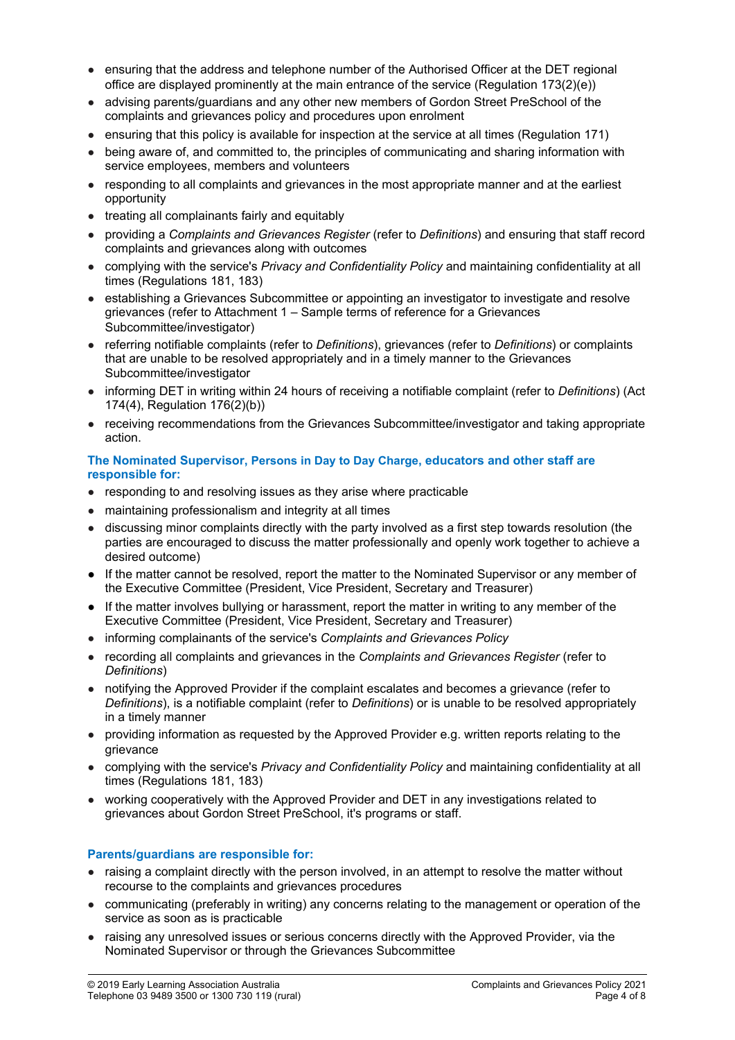- ensuring that the address and telephone number of the Authorised Officer at the DET regional office are displayed prominently at the main entrance of the service (Regulation 173(2)(e))
- advising parents/guardians and any other new members of Gordon Street PreSchool of the complaints and grievances policy and procedures upon enrolment
- ensuring that this policy is available for inspection at the service at all times (Regulation 171)
- being aware of, and committed to, the principles of communicating and sharing information with service employees, members and volunteers
- responding to all complaints and grievances in the most appropriate manner and at the earliest opportunity
- treating all complainants fairly and equitably
- providing a *Complaints and Grievances Register* (refer to *Definitions*) and ensuring that staff record complaints and grievances along with outcomes
- complying with the service's *Privacy and Confidentiality Policy* and maintaining confidentiality at all times (Regulations 181, 183)
- establishing a Grievances Subcommittee or appointing an investigator to investigate and resolve grievances (refer to Attachment 1 – Sample terms of reference for a Grievances Subcommittee/investigator)
- referring notifiable complaints (refer to *Definitions*), grievances (refer to *Definitions*) or complaints that are unable to be resolved appropriately and in a timely manner to the Grievances Subcommittee/investigator
- informing DET in writing within 24 hours of receiving a notifiable complaint (refer to *Definitions*) (Act 174(4), Regulation 176(2)(b))
- receiving recommendations from the Grievances Subcommittee/investigator and taking appropriate action.

#### **The Nominated Supervisor, Persons in Day to Day Charge, educators and other staff are responsible for:**

- responding to and resolving issues as they arise where practicable
- maintaining professionalism and integrity at all times
- discussing minor complaints directly with the party involved as a first step towards resolution (the parties are encouraged to discuss the matter professionally and openly work together to achieve a desired outcome)
- If the matter cannot be resolved, report the matter to the Nominated Supervisor or any member of the Executive Committee (President, Vice President, Secretary and Treasurer)
- If the matter involves bullying or harassment, report the matter in writing to any member of the Executive Committee (President, Vice President, Secretary and Treasurer)
- informing complainants of the service's *Complaints and Grievances Policy*
- recording all complaints and grievances in the *Complaints and Grievances Register* (refer to *Definitions*)
- notifying the Approved Provider if the complaint escalates and becomes a grievance (refer to *Definitions*), is a notifiable complaint (refer to *Definitions*) or is unable to be resolved appropriately in a timely manner
- providing information as requested by the Approved Provider e.g. written reports relating to the grievance
- complying with the service's *Privacy and Confidentiality Policy* and maintaining confidentiality at all times (Regulations 181, 183)
- working cooperatively with the Approved Provider and DET in any investigations related to grievances about Gordon Street PreSchool, it's programs or staff.

## **Parents/guardians are responsible for:**

- raising a complaint directly with the person involved, in an attempt to resolve the matter without recourse to the complaints and grievances procedures
- communicating (preferably in writing) any concerns relating to the management or operation of the service as soon as is practicable
- raising any unresolved issues or serious concerns directly with the Approved Provider, via the Nominated Supervisor or through the Grievances Subcommittee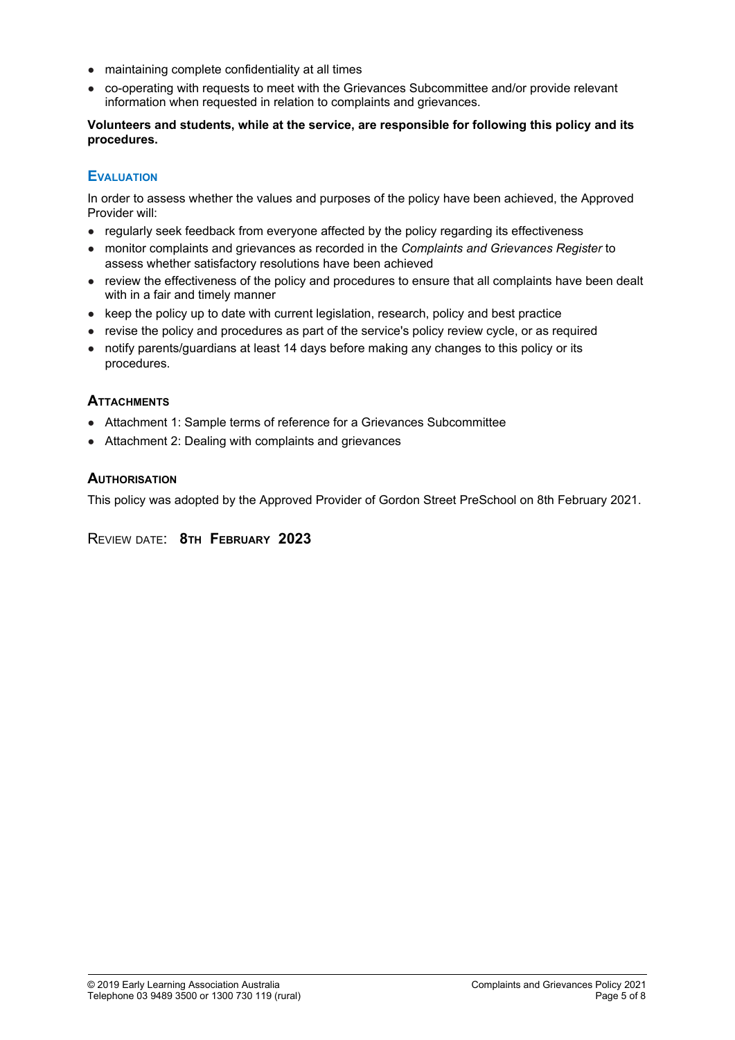- maintaining complete confidentiality at all times
- co-operating with requests to meet with the Grievances Subcommittee and/or provide relevant information when requested in relation to complaints and grievances.

## **Volunteers and students, while at the service, are responsible for following this policy and its procedures.**

## **EVALUATION**

In order to assess whether the values and purposes of the policy have been achieved, the Approved Provider will:

- regularly seek feedback from everyone affected by the policy regarding its effectiveness
- monitor complaints and grievances as recorded in the *Complaints and Grievances Register* to assess whether satisfactory resolutions have been achieved
- review the effectiveness of the policy and procedures to ensure that all complaints have been dealt with in a fair and timely manner
- keep the policy up to date with current legislation, research, policy and best practice
- revise the policy and procedures as part of the service's policy review cycle, or as required
- notify parents/guardians at least 14 days before making any changes to this policy or its procedures.

## **ATTACHMENTS**

- Attachment 1: Sample terms of reference for a Grievances Subcommittee
- Attachment 2: Dealing with complaints and grievances

## **AUTHORISATION**

This policy was adopted by the Approved Provider of Gordon Street PreSchool on 8th February 2021.

REVIEW DATE: **8TH FEBRUARY 2023**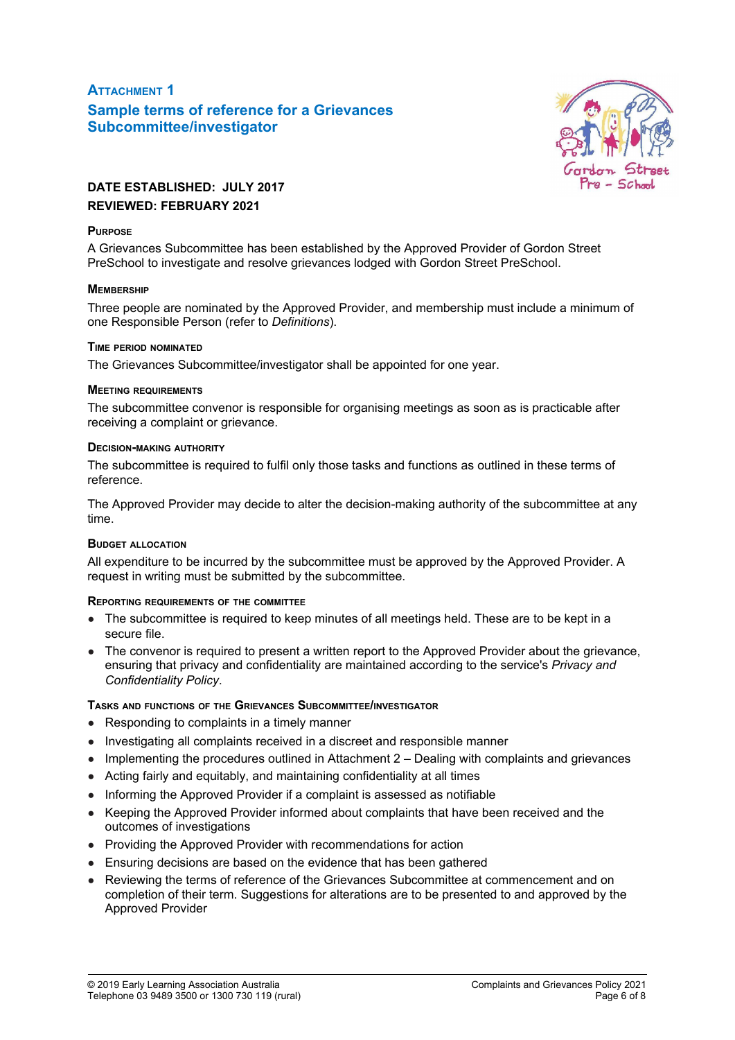## **ATTACHMENT 1 Sample terms of reference for a Grievances Subcommittee/investigator**



## **DATE ESTABLISHED: JULY 2017 REVIEWED: FEBRUARY 2021**

## **PURPOSE**

A Grievances Subcommittee has been established by the Approved Provider of Gordon Street PreSchool to investigate and resolve grievances lodged with Gordon Street PreSchool.

## **MEMBERSHIP**

Three people are nominated by the Approved Provider, and membership must include a minimum of one Responsible Person (refer to *Definitions*).

### **TIME PERIOD NOMINATED**

The Grievances Subcommittee/investigator shall be appointed for one year.

## **MEETING REQUIREMENTS**

The subcommittee convenor is responsible for organising meetings as soon as is practicable after receiving a complaint or grievance.

## **DECISION-MAKING AUTHORITY**

The subcommittee is required to fulfil only those tasks and functions as outlined in these terms of reference.

The Approved Provider may decide to alter the decision-making authority of the subcommittee at any time.

### **BUDGET ALLOCATION**

All expenditure to be incurred by the subcommittee must be approved by the Approved Provider. A request in writing must be submitted by the subcommittee.

## **REPORTING REQUIREMENTS OF THE COMMITTEE**

- The subcommittee is required to keep minutes of all meetings held. These are to be kept in a secure file.
- The convenor is required to present a written report to the Approved Provider about the grievance, ensuring that privacy and confidentiality are maintained according to the service's *Privacy and Confidentiality Policy*.

## **TASKS AND FUNCTIONS OF THE GRIEVANCES SUBCOMMITTEE/INVESTIGATOR**

- Responding to complaints in a timely manner
- Investigating all complaints received in a discreet and responsible manner
- Implementing the procedures outlined in Attachment 2 Dealing with complaints and grievances
- Acting fairly and equitably, and maintaining confidentiality at all times
- Informing the Approved Provider if a complaint is assessed as notifiable
- Keeping the Approved Provider informed about complaints that have been received and the outcomes of investigations
- Providing the Approved Provider with recommendations for action
- Ensuring decisions are based on the evidence that has been gathered
- Reviewing the terms of reference of the Grievances Subcommittee at commencement and on completion of their term. Suggestions for alterations are to be presented to and approved by the Approved Provider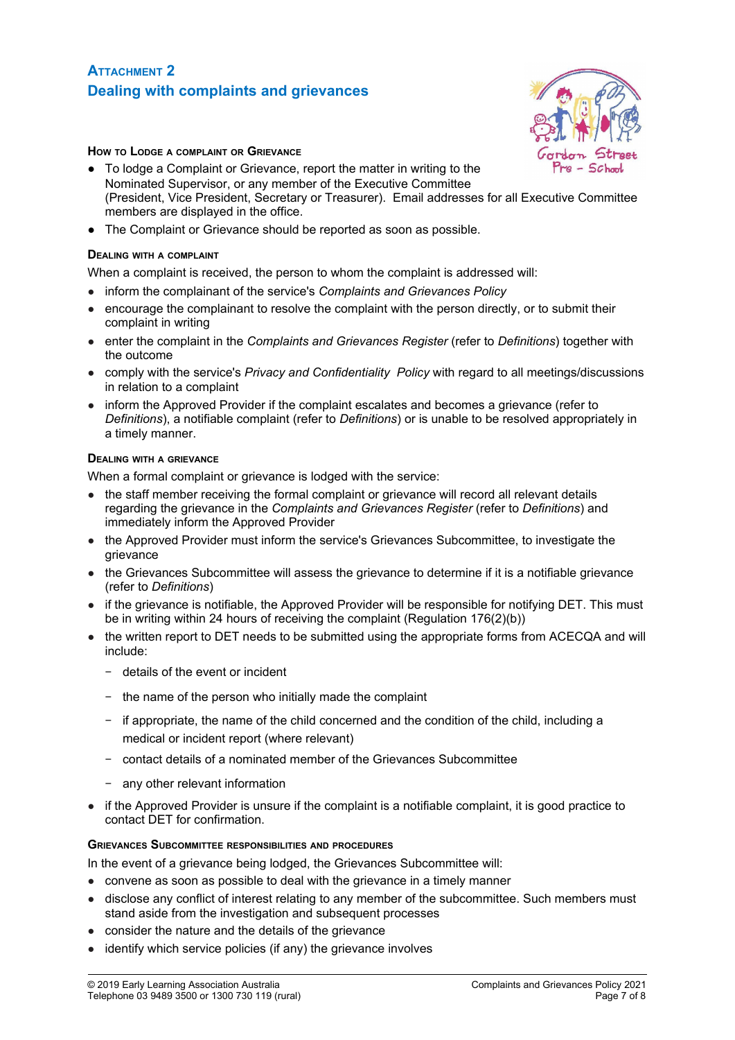## **ATTACHMENT 2 Dealing with complaints and grievances**



## **HOW TO LODGE <sup>A</sup> COMPLAINT OR GRIEVANCE**

- To lodge a Complaint or Grievance, report the matter in writing to the Nominated Supervisor, or any member of the Executive Committee (President, Vice President, Secretary or Treasurer). Email addresses for all Executive Committee members are displayed in the office.
- The Complaint or Grievance should be reported as soon as possible.

#### **DEALING WITH <sup>A</sup> COMPLAINT**

When a complaint is received, the person to whom the complaint is addressed will:

- inform the complainant of the service's *Complaints and Grievances Policy*
- encourage the complainant to resolve the complaint with the person directly, or to submit their complaint in writing
- enter the complaint in the *Complaints and Grievances Register* (refer to *Definitions*) together with the outcome
- comply with the service's *Privacy and Confidentiality Policy* with regard to all meetings/discussions in relation to a complaint
- inform the Approved Provider if the complaint escalates and becomes a grievance (refer to *Definitions*), a notifiable complaint (refer to *Definitions*) or is unable to be resolved appropriately in a timely manner.

#### **DEALING WITH <sup>A</sup> GRIEVANCE**

When a formal complaint or grievance is lodged with the service:

- the staff member receiving the formal complaint or grievance will record all relevant details regarding the grievance in the *Complaints and Grievances Register* (refer to *Definitions*) and immediately inform the Approved Provider
- the Approved Provider must inform the service's Grievances Subcommittee, to investigate the grievance
- the Grievances Subcommittee will assess the grievance to determine if it is a notifiable grievance (refer to *Definitions*)
- if the grievance is notifiable, the Approved Provider will be responsible for notifying DET. This must be in writing within 24 hours of receiving the complaint (Regulation 176(2)(b))
- the written report to DET needs to be submitted using the appropriate forms from ACECQA and will include:
	- − details of the event or incident
	- − the name of the person who initially made the complaint
	- − if appropriate, the name of the child concerned and the condition of the child, including a medical or incident report (where relevant)
	- − contact details of a nominated member of the Grievances Subcommittee
	- − any other relevant information
- if the Approved Provider is unsure if the complaint is a notifiable complaint, it is good practice to contact DET for confirmation.

### **GRIEVANCES SUBCOMMITTEE RESPONSIBILITIES AND PROCEDURES**

In the event of a grievance being lodged, the Grievances Subcommittee will:

- convene as soon as possible to deal with the grievance in a timely manner
- disclose any conflict of interest relating to any member of the subcommittee. Such members must stand aside from the investigation and subsequent processes
- consider the nature and the details of the grievance
- identify which service policies (if any) the grievance involves